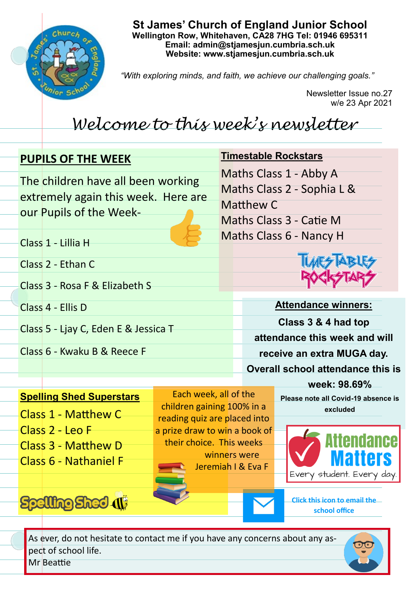

**St James' Church of England Junior School Wellington Row, Whitehaven, CA28 7HG Tel: 01946 695311 Email: admin@stjamesjun.cumbria.sch.uk Website: www.stjamesjun.cumbria.sch.uk**

*"With exploring minds, and faith, we achieve our challenging goals."*

Newsletter Issue no.27 w/e 23 Apr 2021

# *Welcome to this week's newsletter*

## **PUPILS OF THE WEEK**

The children have all been working extremely again this week. Here are our Pupils of the Week-

# **Timestable Rockstars**

Maths Class 1 - Abby A

Maths Class 2 - Sophia L &

Matthew C

Maths Class 3 - Catie M Maths Class 6 - Nancy H

Class 1 - Lillia H

Class 2 - Ethan C

Class 3 - Rosa F & Elizabeth S

Class 4 - Ellis D

Class 5 - Ljay C, Eden E & Jessica T

Class 6 - Kwaku B & Reece F



**Attendance winners: Class 3 & 4 had top attendance this week and will receive an extra MUGA day. Overall school attendance this is** 

### **Spelling Shed Superstars**

- Class 1 Matthew C Class 2 - Leo F
- Class 3 Matthew D
- Class 6 Nathaniel F

Spelling Shed (1)

Each week, all of the children gaining 100% in a reading quiz are placed into a prize draw to win a book of their choice. This weeks winners were Jeremiah I & Eva F

**week: 98.69% Please note all Covid-19 absence is** 





**Click this icon to email the school office**

As ever, do not hesitate to contact me if you have any concerns about any aspect of school life. Mr Beattie

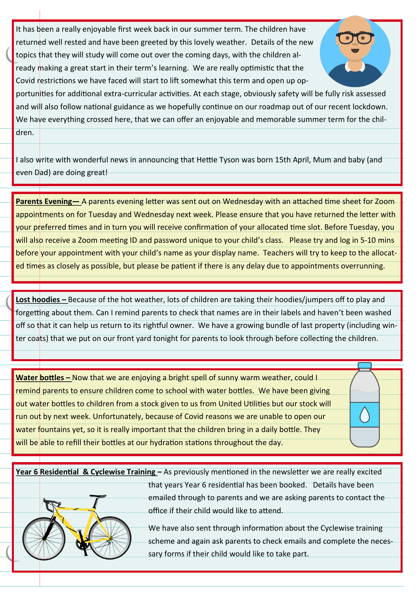It has been a really enjoyable first week back in our summer term. The children have returned well rested and have been greeted by this lovely weather. Details of the new topics that they will study will come out over the coming days, with the children already making a great start in their term's learning. We are really optimistic that the Covid restrictions we have faced will start to lift somewhat this term and open up op-



portunities for additional extra-curricular activities. At each stage, obviously safety will be fully risk assessed and will also follow national guidance as we hopefully continue on our roadmap out of our recent lockdown. We have everything crossed here, that we can offer an enjoyable and memorable summer term for the children.

I also write with wonderful news in announcing that Hettie Tyson was born 15th April, Mum and baby (and even Dad) are doing great!

**Parents Evening—** A parents evening letter was sent out on Wednesday with an attached time sheet for Zoom appointments on for Tuesday and Wednesday next week. Please ensure that you have returned the letter with your preferred times and in turn you will receive confirmation of your allocated time slot. Before Tuesday, you will also receive a Zoom meeting ID and password unique to your child's class. Please try and log in 5-10 mins before your appointment with your child's name as your display name. Teachers will try to keep to the allocated times as closely as possible, but please be patient if there is any delay due to appointments overrunning.

**Lost hoodies –** Because of the hot weather, lots of children are taking their hoodies/jumpers off to play and forgetting about them. Can I remind parents to check that names are in their labels and haven't been washed off so that it can help us return to its rightful owner. We have a growing bundle of last property (including winter coats) that we put on our front yard tonight for parents to look through before collecting the children.

**Water bottles –** Now that we are enjoying a bright spell of sunny warm weather, could I remind parents to ensure children come to school with water bottles. We have been giving out water bottles to children from a stock given to us from United Utilities but our stock will run out by next week. Unfortunately, because of Covid reasons we are unable to open our water fountains yet, so it is really important that the children bring in a daily bottle. They will be able to refill their bottles at our hydration stations throughout the day.